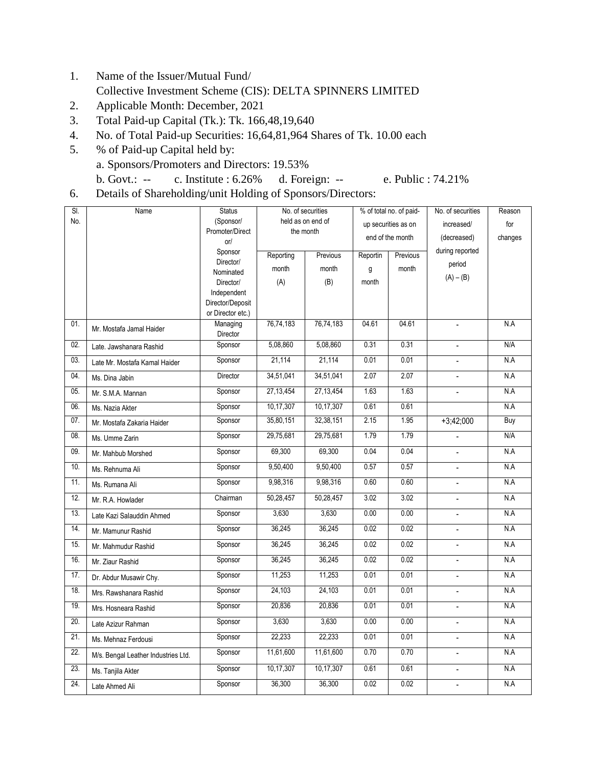- 1. Name of the Issuer/Mutual Fund/ Collective Investment Scheme (CIS): DELTA SPINNERS LIMITED
- 2. Applicable Month: December, 2021
- 3. Total Paid-up Capital (Tk.): Tk. 166,48,19,640
- 4. No. of Total Paid-up Securities: 16,64,81,964 Shares of Tk. 10.00 each
- 5. % of Paid-up Capital held by: a. Sponsors/Promoters and Directors: 19.53% b. Govt.: -- c. Institute : 6.26% d. Foreign: -- e. Public : 74.21%
	-
- 6. Details of Shareholding/unit Holding of Sponsors/Directors:

| SI. | Name                                | <b>Status</b>        | No. of securities |           | % of total no. of paid- |          | No. of securities        | Reason  |
|-----|-------------------------------------|----------------------|-------------------|-----------|-------------------------|----------|--------------------------|---------|
| No. |                                     | (Sponsor/            | held as on end of |           | up securities as on     |          | increased/               | for     |
|     |                                     | Promoter/Direct      | the month         |           | end of the month        |          | (decreased)              | changes |
|     |                                     | or/                  |                   |           |                         |          | during reported          |         |
|     |                                     | Sponsor<br>Director/ | Reporting         | Previous  | Reportin                | Previous |                          |         |
|     |                                     | Nominated            | month             | month     | g                       | month    | period                   |         |
|     |                                     | Director/            | (A)               | (B)       | month                   |          | $(A) - (B)$              |         |
|     |                                     | Independent          |                   |           |                         |          |                          |         |
|     |                                     | Director/Deposit     |                   |           |                         |          |                          |         |
|     |                                     | or Director etc.)    |                   |           |                         |          |                          |         |
| 01. | Mr. Mostafa Jamal Haider            | Managing             | 76,74,183         | 76,74,183 | 04.61                   | 04.61    | $\blacksquare$           | N.A     |
|     |                                     | Director             |                   |           |                         |          |                          |         |
| 02. | Late. Jawshanara Rashid             | Sponsor              | 5,08,860          | 5,08,860  | 0.31                    | 0.31     | $\Box$                   | N/A     |
| 03. | Late Mr. Mostafa Kamal Haider       | Sponsor              | 21,114            | 21,114    | 0.01                    | 0.01     |                          | N.A     |
| 04. | Ms. Dina Jabin                      | Director             | 34,51,041         | 34,51,041 | 2.07                    | 2.07     | $\overline{\phantom{a}}$ | N.A     |
| 05. | Mr. S.M.A. Mannan                   | Sponsor              | 27,13,454         | 27,13,454 | 1.63                    | 1.63     | $\overline{a}$           | N.A     |
| 06. | Ms. Nazia Akter                     | Sponsor              | 10,17,307         | 10,17,307 | 0.61                    | 0.61     |                          | N.A     |
| 07. | Mr. Mostafa Zakaria Haider          | Sponsor              | 35,80,151         | 32,38,151 | 2.15                    | 1.95     | $+3;42;000$              | Buy     |
| 08. | Ms. Umme Zarin                      | Sponsor              | 29,75,681         | 29,75,681 | 1.79                    | 1.79     | $\overline{\phantom{a}}$ | N/A     |
| 09. | Mr. Mahbub Morshed                  | Sponsor              | 69,300            | 69,300    | 0.04                    | 0.04     | $\frac{1}{2}$            | N.A     |
| 10. | Ms. Rehnuma Ali                     | Sponsor              | 9,50,400          | 9,50,400  | 0.57                    | 0.57     | $\overline{\phantom{a}}$ | N.A     |
| 11. | Ms. Rumana Ali                      | Sponsor              | 9,98,316          | 9,98,316  | 0.60                    | 0.60     | $\overline{\phantom{a}}$ | N.A     |
| 12. | Mr. R.A. Howlader                   | Chairman             | 50,28,457         | 50,28,457 | 3.02                    | 3.02     | $\blacksquare$           | N.A     |
| 13. | Late Kazi Salauddin Ahmed           | Sponsor              | 3,630             | 3,630     | 0.00                    | 0.00     | $\blacksquare$           | N.A     |
| 14. | Mr. Mamunur Rashid                  | Sponsor              | 36,245            | 36,245    | 0.02                    | 0.02     | $\overline{a}$           | N.A     |
| 15. | Mr. Mahmudur Rashid                 | Sponsor              | 36,245            | 36,245    | 0.02                    | 0.02     | $\blacksquare$           | N.A     |
| 16. | Mr. Ziaur Rashid                    | Sponsor              | 36,245            | 36,245    | 0.02                    | 0.02     | ÷.                       | N.A     |
| 17. | Dr. Abdur Musawir Chy.              | Sponsor              | 11,253            | 11,253    | 0.01                    | 0.01     | $\overline{a}$           | N.A     |
| 18. | Mrs. Rawshanara Rashid              | Sponsor              | 24,103            | 24,103    | 0.01                    | 0.01     | $\overline{\phantom{a}}$ | N.A     |
| 19. | Mrs. Hosneara Rashid                | Sponsor              | 20,836            | 20,836    | 0.01                    | 0.01     | $\omega$                 | N.A     |
| 20. | Late Azizur Rahman                  | Sponsor              | 3,630             | 3,630     | 0.00                    | 0.00     |                          | N.A     |
| 21. | Ms. Mehnaz Ferdousi                 | Sponsor              | 22,233            | 22,233    | 0.01                    | 0.01     | $\overline{\phantom{a}}$ | N.A     |
| 22. | M/s. Bengal Leather Industries Ltd. | Sponsor              | 11,61,600         | 11,61,600 | 0.70                    | 0.70     | $\overline{a}$           | N.A     |
| 23. | Ms. Tanjila Akter                   | Sponsor              | 10,17,307         | 10,17,307 | 0.61                    | 0.61     | $\overline{\phantom{a}}$ | N.A     |
| 24. | Late Ahmed Ali                      | Sponsor              | 36,300            | 36,300    | 0.02                    | 0.02     | $\overline{\phantom{0}}$ | N.A     |